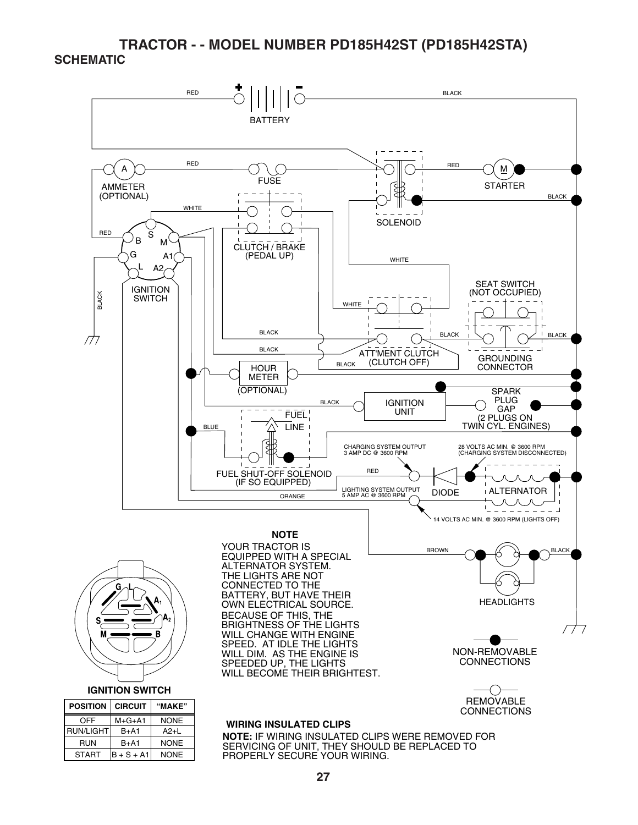## **TRACTOR - - MODEL NUMBER PD185H42ST (PD185H42STA) SCHEMATIC**

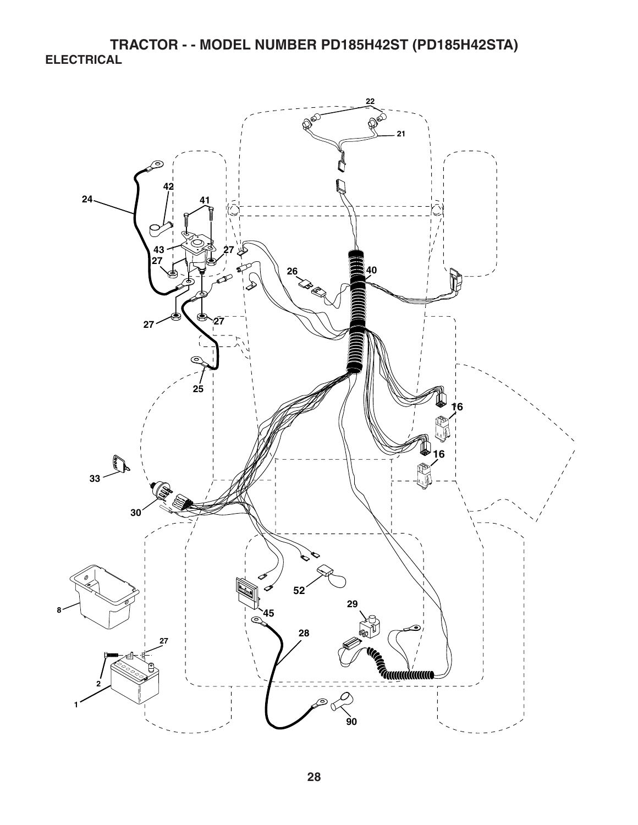**TRACTOR - - MODEL NUMBER PD185H42ST (PD185H42STA) ELECTRICAL** 

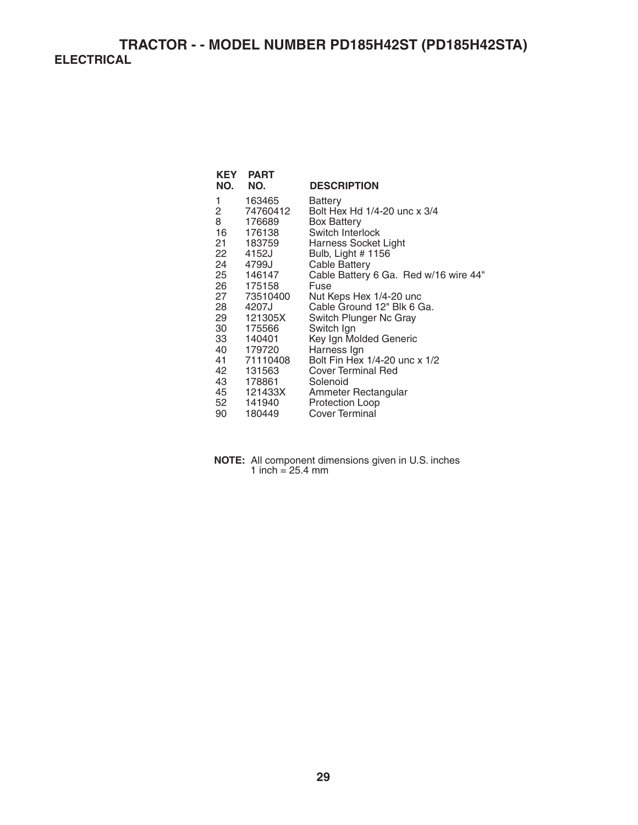**TRACTOR - - MODEL NUMBER PD185H42ST (PD185H42STA) ELECTRICAL** 

| KEY<br>NO. | <b>PART</b><br>NO. | <b>DESCRIPTION</b>                      |
|------------|--------------------|-----------------------------------------|
| 1          |                    |                                         |
| 2          | 163465<br>74760412 | Battery<br>Bolt Hex Hd 1/4-20 unc x 3/4 |
| 8          | 176689             |                                         |
| 16         | 176138             | <b>Box Battery</b><br>Switch Interlock  |
|            |                    |                                         |
| 21 —       | 183759             | Harness Socket Light                    |
| 22         | 4152J              | Bulb, Light # 1156                      |
| 24         | 4799J              | Cable Battery                           |
|            | 25 146147          | Cable Battery 6 Ga. Red w/16 wire 44"   |
|            | 26 175158          | Fuse                                    |
| 27 —       | 73510400           | Nut Keps Hex 1/4-20 unc                 |
| 28         | 4207J              | Cable Ground 12" Blk 6 Ga.              |
| 29         | 121305X            | Switch Plunger Nc Gray                  |
| 30         | 175566             | Switch Ign                              |
| 33         | 140401             | Key Ign Molded Generic                  |
| 40         | 179720             | Harness Ign                             |
| 41         | 71110408           | Bolt Fin Hex 1/4-20 unc x 1/2           |
| 42         | 131563             | Cover Terminal Red                      |
|            | 43 178861          | Solenoid                                |
| 45         | 121433X            | Ammeter Rectangular                     |
| 52         | 141940             | <b>Protection Loop</b>                  |
| 90         | 180449             | Cover Terminal                          |
|            |                    |                                         |

**NOTE:** All component dimensions given in U.S. inches 1 inch  $= 25.4$  mm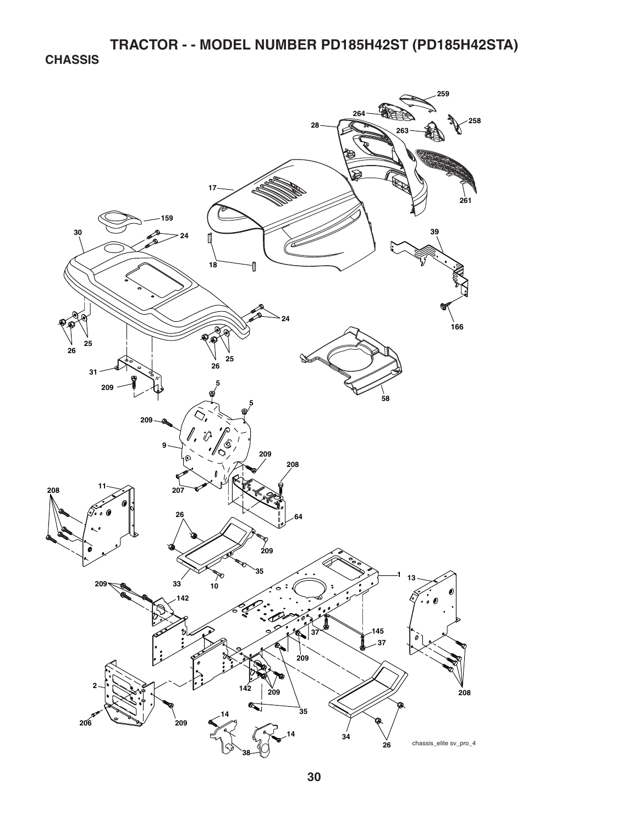**CHASSIS** 

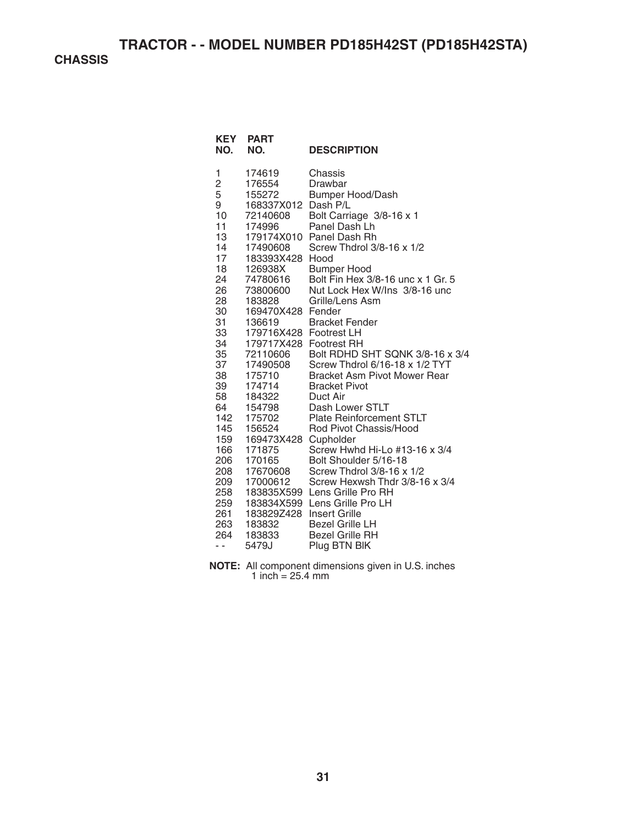**CHASSIS** 

| <b>PART</b><br>NO.     | <b>DESCRIPTION</b>                                                                                                                                                                                                                                                                                                                                    |
|------------------------|-------------------------------------------------------------------------------------------------------------------------------------------------------------------------------------------------------------------------------------------------------------------------------------------------------------------------------------------------------|
| 174619                 | Chassis                                                                                                                                                                                                                                                                                                                                               |
|                        | Drawbar                                                                                                                                                                                                                                                                                                                                               |
|                        | Bumper Hood/Dash                                                                                                                                                                                                                                                                                                                                      |
|                        |                                                                                                                                                                                                                                                                                                                                                       |
|                        | Bolt Carriage 3/8-16 x 1                                                                                                                                                                                                                                                                                                                              |
|                        | Panel Dash Lh                                                                                                                                                                                                                                                                                                                                         |
|                        |                                                                                                                                                                                                                                                                                                                                                       |
|                        | Screw Thdrol 3/8-16 x 1/2                                                                                                                                                                                                                                                                                                                             |
|                        | Hood                                                                                                                                                                                                                                                                                                                                                  |
|                        | <b>Bumper Hood</b><br>Bolt Fin Hex 3/8-16 unc x 1 Gr. 5                                                                                                                                                                                                                                                                                               |
|                        | Nut Lock Hex W/Ins 3/8-16 unc                                                                                                                                                                                                                                                                                                                         |
|                        | Grille/Lens Asm                                                                                                                                                                                                                                                                                                                                       |
|                        |                                                                                                                                                                                                                                                                                                                                                       |
|                        | <b>Bracket Fender</b>                                                                                                                                                                                                                                                                                                                                 |
| 179716X428 Footrest LH |                                                                                                                                                                                                                                                                                                                                                       |
| 179717X428 Footrest RH |                                                                                                                                                                                                                                                                                                                                                       |
| 72110606               | Bolt RDHD SHT SQNK 3/8-16 x 3/4                                                                                                                                                                                                                                                                                                                       |
| 17490508               | Screw Thdrol 6/16-18 x 1/2 TYT                                                                                                                                                                                                                                                                                                                        |
| 175710                 | Bracket Asm Pivot Mower Rear                                                                                                                                                                                                                                                                                                                          |
|                        | <b>Bracket Pivot</b>                                                                                                                                                                                                                                                                                                                                  |
|                        | Duct Air                                                                                                                                                                                                                                                                                                                                              |
|                        | Dash Lower STLT                                                                                                                                                                                                                                                                                                                                       |
|                        | <b>Plate Reinforcement STLT</b>                                                                                                                                                                                                                                                                                                                       |
|                        | Rod Pivot Chassis/Hood                                                                                                                                                                                                                                                                                                                                |
|                        | Cupholder                                                                                                                                                                                                                                                                                                                                             |
|                        | Screw Hwhd Hi-Lo #13-16 x 3/4<br>Bolt Shoulder 5/16-18                                                                                                                                                                                                                                                                                                |
|                        | Screw Thdrol 3/8-16 x 1/2                                                                                                                                                                                                                                                                                                                             |
| 209                    | Screw Hexwsh Thdr 3/8-16 x 3/4                                                                                                                                                                                                                                                                                                                        |
| 258                    | Lens Grille Pro RH                                                                                                                                                                                                                                                                                                                                    |
| 259                    | Lens Grille Pro LH                                                                                                                                                                                                                                                                                                                                    |
|                        | <b>Insert Grille</b>                                                                                                                                                                                                                                                                                                                                  |
| 183832                 | <b>Bezel Grille LH</b>                                                                                                                                                                                                                                                                                                                                |
| 183833                 | <b>Bezel Grille RH</b>                                                                                                                                                                                                                                                                                                                                |
| 5479J                  | Plug BTN BIK                                                                                                                                                                                                                                                                                                                                          |
|                        | 176554<br>155272<br>168337X012 Dash P/L<br>72140608<br>174996<br>179174X010 Panel Dash Rh<br>17490608<br>183393X428<br>126938X<br>74780616<br>73800600<br>183828<br>169470X428 Fender<br>136619<br>174714<br>184322<br>154798<br>175702<br>156524<br>169473X428<br>171875<br>170165<br>17670608<br>17000612<br>183835X599<br>183834X599<br>183829Z428 |

**NOTE:** All component dimensions given in U.S. inches 1 inch = 25.4 mm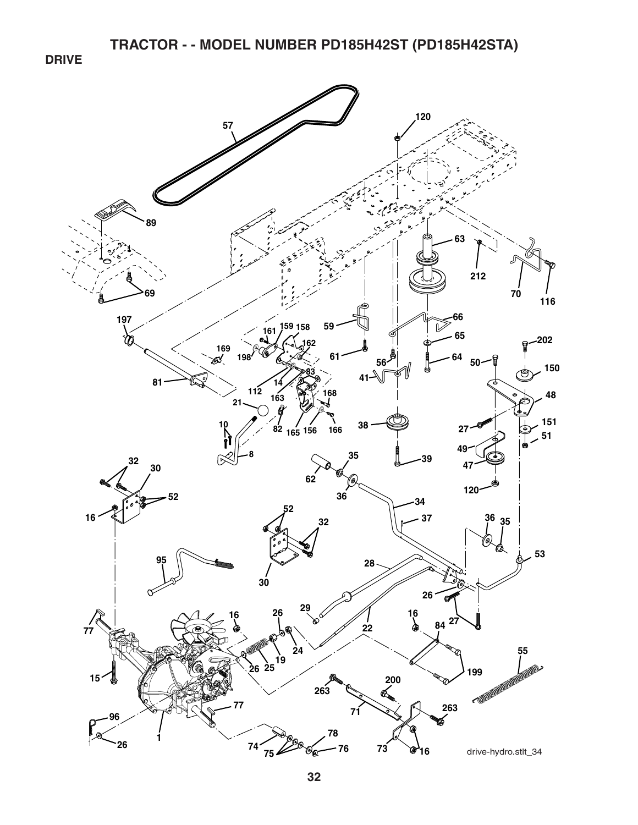**TRACTOR - - MODEL NUMBER PD185H42ST (PD185H42STA)** 

**DRIVE** 

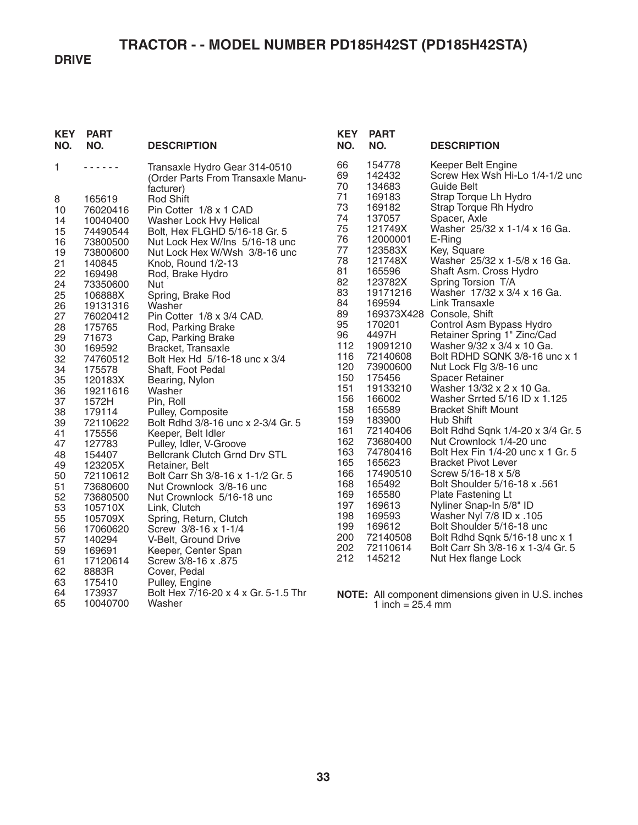# **TRACTOR - - MODEL NUMBER PD185H42ST (PD185H42STA)**

## **DRIVE**

| <b>KEY</b><br>NO. | <b>PART</b><br>NO.   | <b>DESCRIPTION</b>                                                              | <b>KEY</b><br>NO.    | <b>PART</b><br>NO.                   | <b>DESCRIPTION</b>                                                  |
|-------------------|----------------------|---------------------------------------------------------------------------------|----------------------|--------------------------------------|---------------------------------------------------------------------|
| 1                 | ------               | Transaxle Hydro Gear 314-0510<br>(Order Parts From Transaxle Manu-<br>facturer) | 66<br>69<br>70<br>71 | 154778<br>142432<br>134683<br>169183 | Keeper Belt Engine<br>Screw Hex Wsh Hi-Lo 1/4-1/2 unc<br>Guide Belt |
| 8<br>10           | 165619<br>76020416   | <b>Rod Shift</b><br>Pin Cotter 1/8 x 1 CAD                                      | 73                   | 169182                               | Strap Torque Lh Hydro<br>Strap Torque Rh Hydro                      |
| 14                | 10040400             | Washer Lock Hvy Helical                                                         | 74<br>75             | 137057<br>121749X                    | Spacer, Axle<br>Washer 25/32 x 1-1/4 x 16 Ga.                       |
| 15<br>16          | 74490544<br>73800500 | Bolt, Hex FLGHD 5/16-18 Gr. 5<br>Nut Lock Hex W/Ins 5/16-18 unc                 | 76                   | 12000001                             | E-Ring                                                              |
| 19                | 73800600             | Nut Lock Hex W/Wsh 3/8-16 unc                                                   | 77<br>78             | 123583X<br>121748X                   | Key, Square<br>Washer 25/32 x 1-5/8 x 16 Ga.                        |
| 21<br>22          | 140845<br>169498     | Knob, Round 1/2-13<br>Rod, Brake Hydro                                          | 81                   | 165596                               | Shaft Asm. Cross Hydro                                              |
| 24                | 73350600             | Nut                                                                             | 82<br>83             | 123782X<br>19171216                  | Spring Torsion T/A<br>Washer 17/32 x 3/4 x 16 Ga.                   |
| 25<br>26          | 106888X<br>19131316  | Spring, Brake Rod<br>Washer                                                     | 84                   | 169594                               | Link Transaxle                                                      |
| 27                | 76020412             | Pin Cotter 1/8 x 3/4 CAD.                                                       | 89<br>95             | 170201                               | 169373X428 Console, Shift<br>Control Asm Bypass Hydro               |
| 28<br>29          | 175765<br>71673      | Rod, Parking Brake<br>Cap, Parking Brake                                        | 96                   | 4497H                                | Retainer Spring 1" Zinc/Cad                                         |
| 30<br>32          | 169592<br>74760512   | Bracket, Transaxle<br>Bolt Hex Hd 5/16-18 unc x 3/4                             | 112<br>116           | 19091210<br>72140608                 | Washer 9/32 x 3/4 x 10 Ga.<br>Bolt RDHD SQNK 3/8-16 unc x 1         |
| 34                | 175578               | Shaft, Foot Pedal                                                               | 120                  | 73900600                             | Nut Lock Flg 3/8-16 unc                                             |
| 35<br>36          | 120183X<br>19211616  | Bearing, Nylon<br>Washer                                                        | 150<br>151           | 175456<br>19133210                   | Spacer Retainer<br>Washer 13/32 x 2 x 10 Ga.                        |
| 37                | 1572H                | Pin, Roll                                                                       | 156                  | 166002                               | Washer Srrted 5/16 ID x 1.125                                       |
| 38<br>39          | 179114<br>72110622   | Pulley, Composite<br>Bolt Rdhd 3/8-16 unc x 2-3/4 Gr. 5                         | 158<br>159           | 165589<br>183900                     | <b>Bracket Shift Mount</b><br>Hub Shift                             |
| 41                | 175556               | Keeper, Belt Idler                                                              | 161                  | 72140406                             | Bolt Rdhd Sqnk 1/4-20 x 3/4 Gr. 5                                   |
| 47<br>48          | 127783<br>154407     | Pulley, Idler, V-Groove<br>Bellcrank Clutch Grnd Drv STL                        | 162<br>163           | 73680400<br>74780416                 | Nut Crownlock 1/4-20 unc<br>Bolt Hex Fin 1/4-20 unc x 1 Gr. 5       |
| 49                | 123205X              | Retainer, Belt                                                                  | 165                  | 165623                               | <b>Bracket Pivot Lever</b>                                          |
| 50<br>51          | 72110612<br>73680600 | Bolt Carr Sh 3/8-16 x 1-1/2 Gr. 5<br>Nut Crownlock 3/8-16 unc                   | 166<br>168           | 17490510<br>165492                   | Screw 5/16-18 x 5/8<br>Bolt Shoulder 5/16-18 x .561                 |
| 52                | 73680500             | Nut Crownlock 5/16-18 unc                                                       | 169<br>197           | 165580<br>169613                     | Plate Fastening Lt                                                  |
| 53<br>55          | 105710X<br>105709X   | Link, Clutch<br>Spring, Return, Clutch                                          | 198                  | 169593                               | Nyliner Snap-In 5/8" ID<br>Washer Nyl 7/8 ID x .105                 |
| 56                | 17060620             | Screw 3/8-16 x 1-1/4                                                            | 199<br>200           | 169612<br>72140508                   | Bolt Shoulder 5/16-18 unc<br>Bolt Rdhd Sqnk 5/16-18 unc x 1         |
| 57<br>59          | 140294<br>169691     | V-Belt, Ground Drive<br>Keeper, Center Span                                     | 202                  | 72110614                             | Bolt Carr Sh 3/8-16 x 1-3/4 Gr. 5                                   |
| 61                | 17120614             | Screw 3/8-16 x .875                                                             | 212                  | 145212                               | Nut Hex flange Lock                                                 |
| 62<br>63          | 8883R<br>175410      | Cover, Pedal<br>Pulley, Engine                                                  |                      |                                      |                                                                     |
| 64<br>65          | 173937<br>10040700   | Bolt Hex 7/16-20 x 4 x Gr. 5-1.5 Thr<br>Washer                                  |                      | 1 inch = $25.4 \text{ mm}$           | NOTE: All component dimensions given in U.S. inches                 |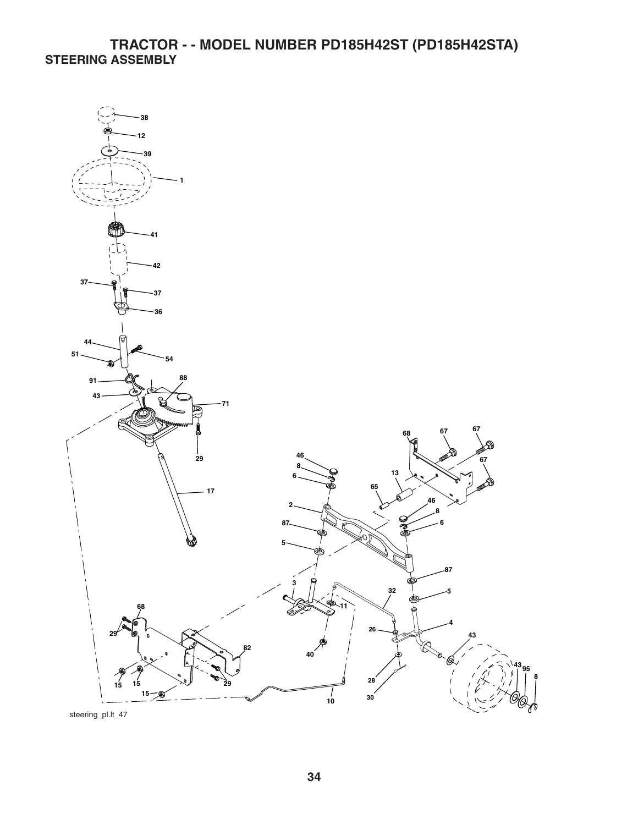# **TRACTOR - - MODEL NUMBER PD185H42ST (PD185H42STA) STEERING ASSEMBLY**



steering\_pl.lt\_47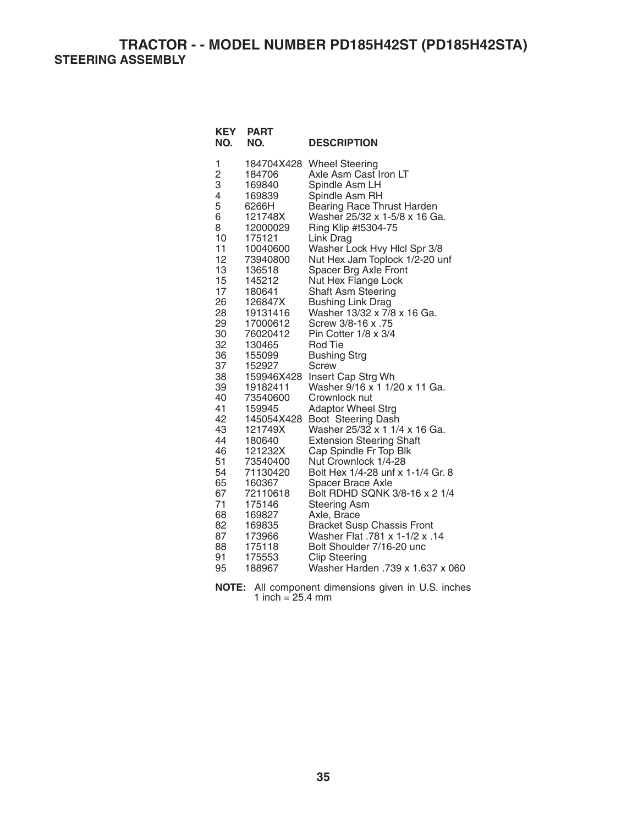**TRACTOR - - MODEL NUMBER PD185H42ST (PD185H42STA) STEERING ASSEMBLY** 

| <b>KEY</b><br>NO. | <b>PART</b><br>NO. | <b>DESCRIPTION</b>                |
|-------------------|--------------------|-----------------------------------|
| 1                 | 184704X428         | <b>Wheel Steering</b>             |
| $\overline{c}$    | 184706             | Axle Asm Cast Iron LT             |
| 3                 | 169840             | Spindle Asm LH                    |
| 4                 | 169839             | Spindle Asm RH                    |
| 5                 | 6266H              | Bearing Race Thrust Harden        |
| 6                 | 121748X            | Washer 25/32 x 1-5/8 x 16 Ga.     |
| 8                 | 12000029           | Ring Klip #t5304-75               |
| 10                | 175121             | Link Drag                         |
| 11                | 10040600           | Washer Lock Hvy Hlcl Spr 3/8      |
| 12                | 73940800           | Nut Hex Jam Toplock 1/2-20 unf    |
| 13                | 136518             | Spacer Brg Axle Front             |
| 15                | 145212             | Nut Hex Flange Lock               |
| 17                | 180641             | Shaft Asm Steering                |
| 26                | 126847X            | <b>Bushing Link Drag</b>          |
| 28                | 19131416           | Washer 13/32 x 7/8 x 16 Ga.       |
| 29                | 17000612           | Screw 3/8-16 x .75                |
| 30                | 76020412           | Pin Cotter 1/8 x 3/4              |
| 32                | 130465             | <b>Rod Tie</b>                    |
| 36                | 155099             | <b>Bushing Strg</b>               |
| 37                | 152927             | Screw                             |
| 38                | 159946X428         | Insert Cap Strg Wh                |
| 39                | 19182411           | Washer 9/16 x 1 1/20 x 11 Ga.     |
| 40                | 73540600           | Crownlock nut                     |
| 41                | 159945             | <b>Adaptor Wheel Strg</b>         |
| 42                | 145054X428         | Boot Steering Dash                |
| 43                | 121749X            | Washer 25/32 x 1 1/4 x 16 Ga.     |
| 44                | 180640             | <b>Extension Steering Shaft</b>   |
| 46                | 121232X            | Cap Spindle Fr Top Blk            |
| 51                | 73540400           | Nut Crownlock 1/4-28              |
| 54                | 71130420           | Bolt Hex 1/4-28 unf x 1-1/4 Gr. 8 |
| 65                | 160367             | Spacer Brace Axle                 |
| 67                | 72110618           | Bolt RDHD SQNK 3/8-16 x 2 1/4     |
| 71                | 175146             | <b>Steering Asm</b>               |
| 68                | 169827             | Axle, Brace                       |
| 82                | 169835             | <b>Bracket Susp Chassis Front</b> |
| 87                | 173966             | Washer Flat .781 x 1-1/2 x .14    |
| 88                | 175118             | Bolt Shoulder 7/16-20 unc         |
| 91                | 175553             | <b>Clip Steering</b>              |
| 95                | 188967             | Washer Harden .739 x 1.637 x 060  |

**NOTE:** All component dimensions given in U.S. inches 1 inch =  $25.4 \, \text{mm}$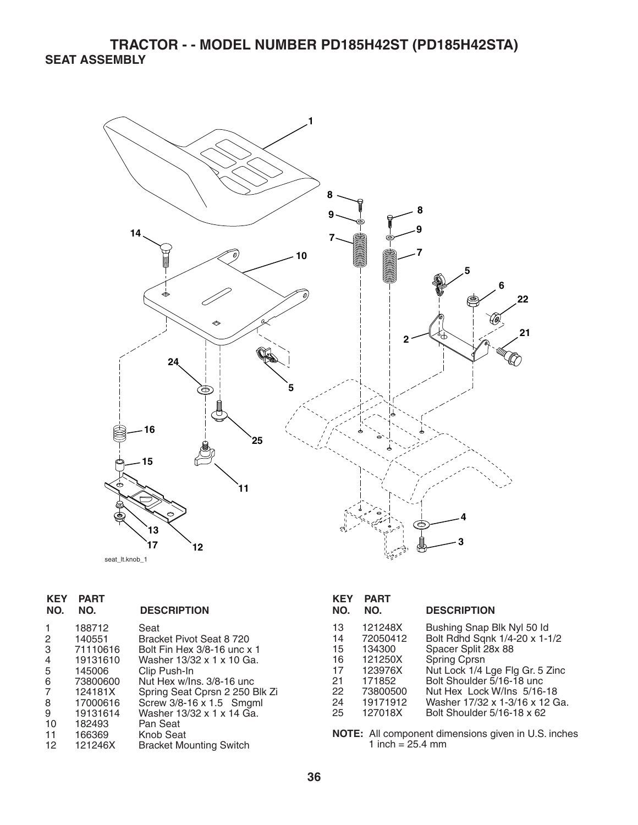# **TRACTOR - - MODEL NUMBER PD185H42ST (PD185H42STA) SEAT ASSEMBLY**



| seat It.knob 1 |  |
|----------------|--|
|----------------|--|

| <b>KEY</b><br>NO.                                      | <b>PART</b><br>NO.                                                                                                               | <b>DESCRIPTION</b>                                                                                                                                                                                                                                                                              |
|--------------------------------------------------------|----------------------------------------------------------------------------------------------------------------------------------|-------------------------------------------------------------------------------------------------------------------------------------------------------------------------------------------------------------------------------------------------------------------------------------------------|
| 2<br>3<br>4<br>5<br>6<br>7<br>8<br>9<br>10<br>11<br>12 | 188712<br>140551<br>71110616<br>19131610<br>145006<br>73800600<br>124181X<br>17000616<br>19131614<br>182493<br>166369<br>121246X | Seat<br>Bracket Pivot Seat 8 720<br>Bolt Fin Hex 3/8-16 unc x 1<br>Washer 13/32 x 1 x 10 Ga.<br>Clip Push-In<br>Nut Hex w/lns. 3/8-16 unc<br>Spring Seat Cprsn 2 250 Blk Zi<br>Screw 3/8-16 x 1.5 Smgml<br>Washer 13/32 x 1 x 14 Ga.<br>Pan Seat<br>Knob Seat<br><b>Bracket Mounting Switch</b> |
|                                                        |                                                                                                                                  |                                                                                                                                                                                                                                                                                                 |

| KEY<br>NO. | <b>PART</b><br>NO. | <b>DESCRIPTION</b>              |
|------------|--------------------|---------------------------------|
| 13         | 121248X            | Bushing Snap Blk Nyl 50 ld      |
| 14         | 72050412           | Bolt Rdhd Sqnk 1/4-20 x 1-1/2   |
| 15         | 134300             | Spacer Split 28x 88             |
| 16         | 121250X            | Spring Cprsn                    |
| 17         | 123976X            | Nut Lock 1/4 Lge Flg Gr. 5 Zinc |
| 21         | 171852             | Bolt Shoulder 5/16-18 unc.      |
| 22         | 73800500           | Nut Hex Lock W/Ins 5/16-18      |
| 24         | 19171912           | Washer 17/32 x 1-3/16 x 12 Ga.  |
| 25         | 127018X            | Bolt Shoulder 5/16-18 x 62      |

**NOTE:** All component dimensions given in U.S. inches 1 inch  $= 25.4$  mm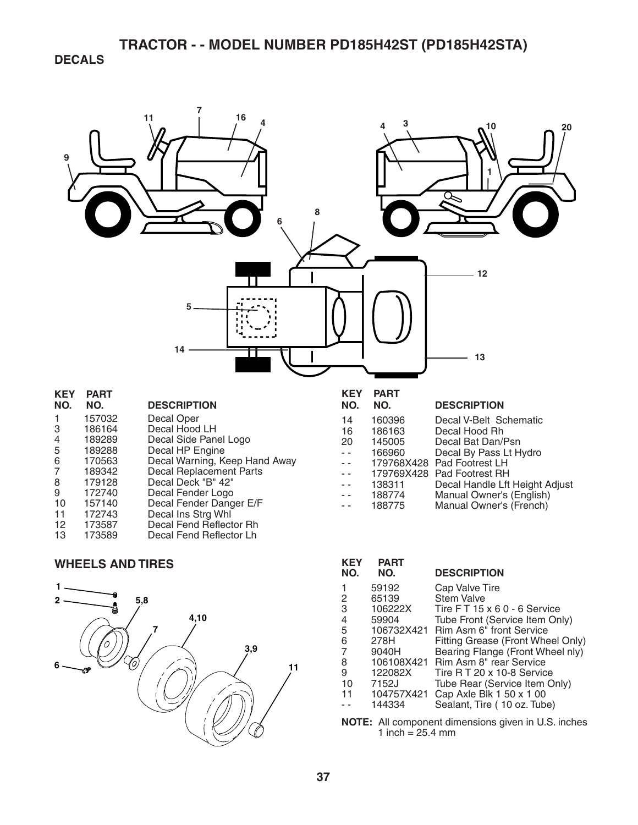# **TRACTOR - - MODEL NUMBER PD185H42ST (PD185H42STA)**

**DECALS** 



### **WHEELS AND TIRES**



| <b>KEY</b><br>NO.                                     | <b>PART</b><br>NO. | <b>DESCRIPTION</b>                 |  |  |
|-------------------------------------------------------|--------------------|------------------------------------|--|--|
| 1                                                     | 59192              | Cap Valve Tire                     |  |  |
| 2                                                     | 65139              | <b>Stem Valve</b>                  |  |  |
| 3                                                     | 106222X            | Tire $FT 15 \times 60 - 6$ Service |  |  |
| 4                                                     | 59904              | Tube Front (Service Item Only)     |  |  |
| 5                                                     | 106732X421         | <b>Rim Asm 6" front Service</b>    |  |  |
| 6                                                     | 278H               | Fitting Grease (Front Wheel Only)  |  |  |
| 7                                                     | 9040H              | Bearing Flange (Front Wheel nly)   |  |  |
| 8                                                     | 106108X421         | Rim Asm 8" rear Service            |  |  |
| 9                                                     | 122082X            | Tire R T 20 x 10-8 Service         |  |  |
| 10                                                    | 7152J              | Tube Rear (Service Item Only)      |  |  |
| 11                                                    | 104757X421         | Cap Axle Blk 1 50 x 1 00           |  |  |
|                                                       | 144334             | Sealant, Tire (10 oz. Tube)        |  |  |
| All component dimensions given in LLS inches<br>NOTE. |                    |                                    |  |  |

**NOTE:** All component dimensions given in U.S. inches 1 inch =  $25.4 \, \text{mm}$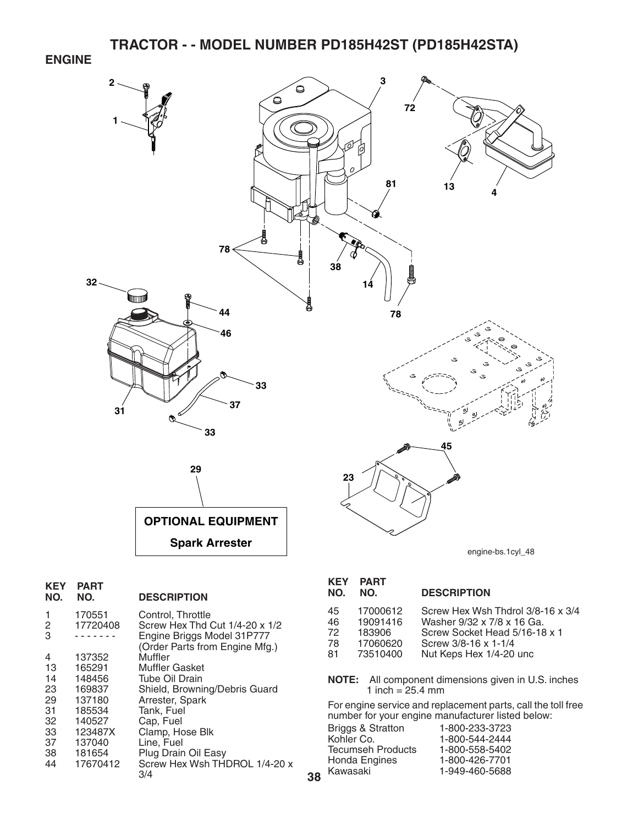**ENGINE** 



**38**

| KEY<br>NO.                                                    | PART<br>NO.                                                                                                   | <b>DESCRIPTION</b>                                                                                                                                                                                                         |
|---------------------------------------------------------------|---------------------------------------------------------------------------------------------------------------|----------------------------------------------------------------------------------------------------------------------------------------------------------------------------------------------------------------------------|
| 1<br>2<br>3                                                   | 170551<br>17720408                                                                                            | Control, Throttle<br>Screw Hex Thd Cut 1/4-20 x 1/2<br>Engine Briggs Model 31P777<br>(Order Parts from Engine Mfg.)                                                                                                        |
| 4<br>13<br>14<br>23<br>29<br>31<br>32<br>33<br>37<br>38<br>44 | 137352<br>165291<br>148456<br>169837<br>137180<br>185534<br>140527<br>123487X<br>137040<br>181654<br>17670412 | Muffler<br>Muffler Gasket<br>Tube Oil Drain<br>Shield, Browning/Debris Guard<br>Arrester, Spark<br>Tank, Fuel<br>Cap, Fuel<br>Clamp, Hose Blk<br>Line, Fuel<br>Plug Drain Oil Easy<br>Screw Hex Wsh THDROL 1/4-20 x<br>3/4 |
|                                                               |                                                                                                               |                                                                                                                                                                                                                            |

#### 45 17000612 Screw Hex Wsh Thdrol 3/8-16 x 3/4 46 19091416 Washer 9/32 x 7/8 x 16 Ga. 72 183906 Screw Socket Head 5/16-18 x 1<br>78 17060620 Screw 3/8-16 x 1-1/4 78 17060620 Screw 3/8-16 x 1-1/4 Nut Keps Hex 1/4-20 unc **KEY PART DESCRIPTION**

**NOTE:** All component dimensions given in U.S. inches 1 inch =  $25.4 \text{ mm}$ 

For engine service and replacement parts, call the toll free number for your engine manufacturer listed below:

| 1-800-233-3723 |
|----------------|
| 1-800-544-2444 |
| 1-800-558-5402 |
| 1-800-426-7701 |
| 1-949-460-5688 |
|                |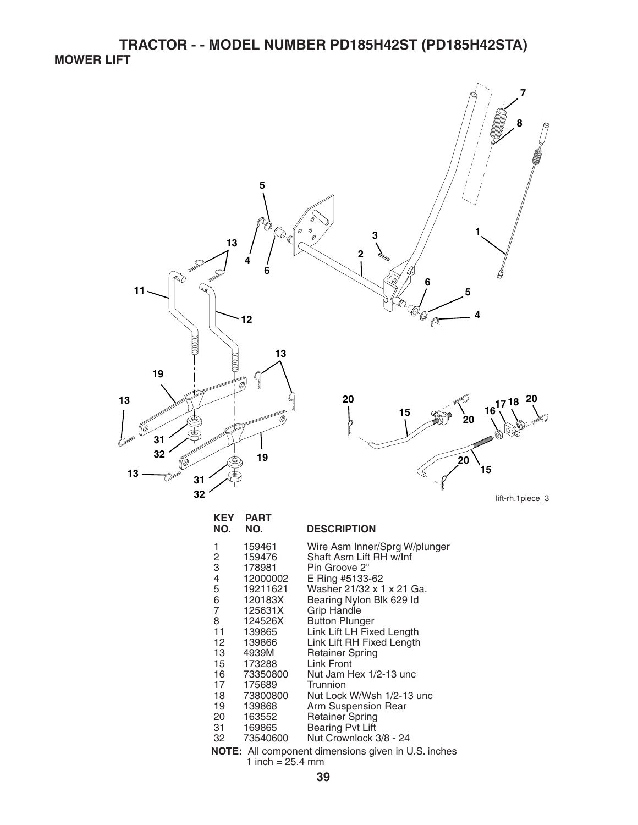**TRACTOR - - MODEL NUMBER PD185H42ST (PD185H42STA) MOWER LIFT** 



|        | 159476   | Shaft Asm Lift RH w/Inf   |
|--------|----------|---------------------------|
| 2<br>3 | 178981   | Pin Groove 2"             |
| 4      | 12000002 | E Ring #5133-62           |
| 5      | 19211621 | Washer 21/32 x 1 x 21 Ga. |
| 6      | 120183X  | Bearing Nylon Blk 629 Id  |
| 7      | 125631X  | <b>Grip Handle</b>        |
| 8      | 124526X  | <b>Button Plunger</b>     |
| 11     | 139865   | Link Lift LH Fixed Length |
| 12     | 139866   | Link Lift RH Fixed Length |
| 13     | 4939M    | <b>Retainer Spring</b>    |
| 15     | 173288   | Link Front                |
| 16     | 73350800 | Nut Jam Hex 1/2-13 unc    |
| 17     | 175689   | Trunnion                  |
| 18     | 73800800 | Nut Lock W/Wsh 1/2-13 unc |
| 19     | 139868   | Arm Suspension Rear       |
| 20     | 163552   | <b>Retainer Spring</b>    |
| 31     | 169865   | <b>Bearing Pvt Lift</b>   |
| 32     | 73540600 | Nut Crownlock 3/8 - 24    |

**NOTE:** All component dimensions given in U.S. inches 1 inch =  $25.4 \, \text{mm}$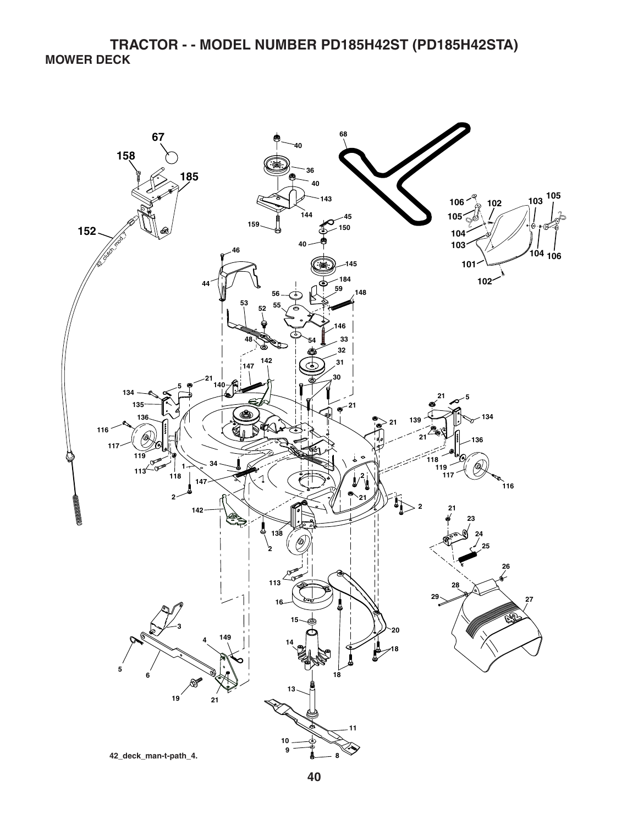**TRACTOR - - MODEL NUMBER PD185H42ST (PD185H42STA) MOWER DECK**